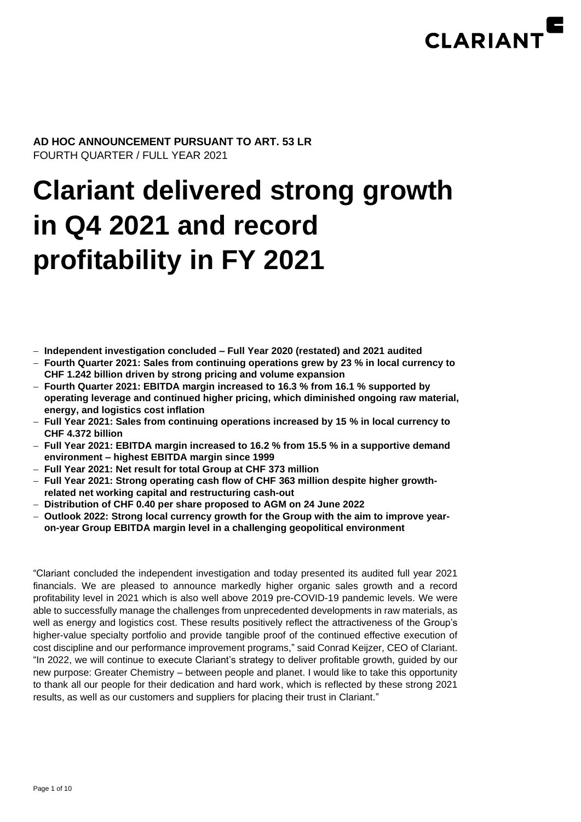

**AD HOC ANNOUNCEMENT PURSUANT TO ART. 53 LR** FOURTH QUARTER / FULL YEAR 2021

# **Clariant delivered strong growth in Q4 2021 and record profitability in FY 2021**

- − **Independent investigation concluded – Full Year 2020 (restated) and 2021 audited**
- − **Fourth Quarter 2021: Sales from continuing operations grew by 23 % in local currency to CHF 1.242 billion driven by strong pricing and volume expansion**
- − **Fourth Quarter 2021: EBITDA margin increased to 16.3 % from 16.1 % supported by operating leverage and continued higher pricing, which diminished ongoing raw material, energy, and logistics cost inflation**
- − **Full Year 2021: Sales from continuing operations increased by 15 % in local currency to CHF 4.372 billion**
- − **Full Year 2021: EBITDA margin increased to 16.2 % from 15.5 % in a supportive demand environment – highest EBITDA margin since 1999**
- − **Full Year 2021: Net result for total Group at CHF 373 million**
- − **Full Year 2021: Strong operating cash flow of CHF 363 million despite higher growthrelated net working capital and restructuring cash-out**
- − **Distribution of CHF 0.40 per share proposed to AGM on 24 June 2022**
- − **Outlook 2022: Strong local currency growth for the Group with the aim to improve yearon-year Group EBITDA margin level in a challenging geopolitical environment**

"Clariant concluded the independent investigation and today presented its audited full year 2021 financials. We are pleased to announce markedly higher organic sales growth and a record profitability level in 2021 which is also well above 2019 pre-COVID-19 pandemic levels. We were able to successfully manage the challenges from unprecedented developments in raw materials, as well as energy and logistics cost. These results positively reflect the attractiveness of the Group's higher-value specialty portfolio and provide tangible proof of the continued effective execution of cost discipline and our performance improvement programs," said Conrad Keijzer, CEO of Clariant. "In 2022, we will continue to execute Clariant's strategy to deliver profitable growth, guided by our new purpose: Greater Chemistry – between people and planet. I would like to take this opportunity to thank all our people for their dedication and hard work, which is reflected by these strong 2021 results, as well as our customers and suppliers for placing their trust in Clariant."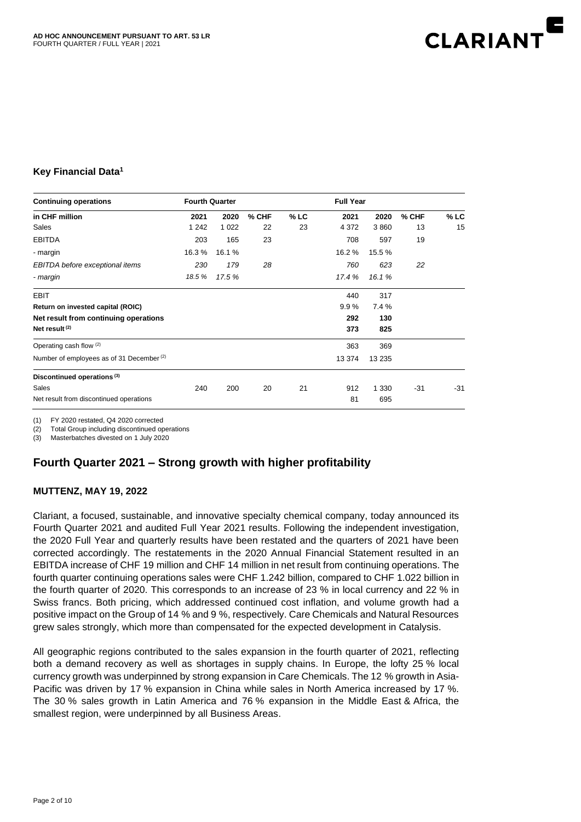

#### **Key Financial Data<sup>1</sup>**

| <b>Continuing operations</b>                         | <b>Fourth Quarter</b> |         |         |        |         |         |       |        |
|------------------------------------------------------|-----------------------|---------|---------|--------|---------|---------|-------|--------|
| in CHF million                                       | 2021                  | 2020    | $%$ CHF | $%$ LC | 2021    | 2020    | % CHF | $%$ LC |
| Sales                                                | 1 2 4 2               | 1 0 2 2 | 22      | 23     | 4 3 7 2 | 3860    | 13    | 15     |
| <b>EBITDA</b>                                        | 203                   | 165     | 23      |        | 708     | 597     | 19    |        |
| - margin                                             | 16.3%                 | 16.1 %  |         |        | 16.2%   | 15.5 %  |       |        |
| EBITDA before exceptional items                      | 230                   | 179     | 28      |        | 760     | 623     | 22    |        |
| - margin                                             | 18.5%                 | 17.5 %  |         |        | 17.4 %  | 16.1%   |       |        |
| <b>EBIT</b>                                          |                       |         |         |        | 440     | 317     |       |        |
| Return on invested capital (ROIC)                    |                       |         |         |        | 9.9%    | 7.4%    |       |        |
| Net result from continuing operations                |                       |         |         |        | 292     | 130     |       |        |
| Net result (2)                                       |                       |         |         |        | 373     | 825     |       |        |
| Operating cash flow (2)                              |                       |         |         |        | 363     | 369     |       |        |
| Number of employees as of 31 December <sup>(2)</sup> |                       |         |         |        | 13 374  | 13 2 35 |       |        |
| Discontinued operations <sup>(3)</sup>               |                       |         |         |        |         |         |       |        |
| Sales                                                | 240                   | 200     | 20      | 21     | 912     | 1 3 3 0 | $-31$ | $-31$  |
| Net result from discontinued operations              |                       |         |         |        | 81      | 695     |       |        |

(1) FY 2020 restated, Q4 2020 corrected

(2) Total Group including discontinued operations

(3) Masterbatches divested on 1 July 2020

## **Fourth Quarter 2021 – Strong growth with higher profitability**

#### **MUTTENZ, MAY 19, 2022**

Clariant, a focused, sustainable, and innovative specialty chemical company, today announced its Fourth Quarter 2021 and audited Full Year 2021 results. Following the independent investigation, the 2020 Full Year and quarterly results have been restated and the quarters of 2021 have been corrected accordingly. The restatements in the 2020 Annual Financial Statement resulted in an EBITDA increase of CHF 19 million and CHF 14 million in net result from continuing operations. The fourth quarter continuing operations sales were CHF 1.242 billion, compared to CHF 1.022 billion in the fourth quarter of 2020. This corresponds to an increase of 23 % in local currency and 22 % in Swiss francs. Both pricing, which addressed continued cost inflation, and volume growth had a positive impact on the Group of 14 % and 9 %, respectively. Care Chemicals and Natural Resources grew sales strongly, which more than compensated for the expected development in Catalysis.

All geographic regions contributed to the sales expansion in the fourth quarter of 2021, reflecting both a demand recovery as well as shortages in supply chains. In Europe, the lofty 25 % local currency growth was underpinned by strong expansion in Care Chemicals. The 12 % growth in Asia-Pacific was driven by 17 % expansion in China while sales in North America increased by 17 %. The 30 % sales growth in Latin America and 76 % expansion in the Middle East & Africa, the smallest region, were underpinned by all Business Areas.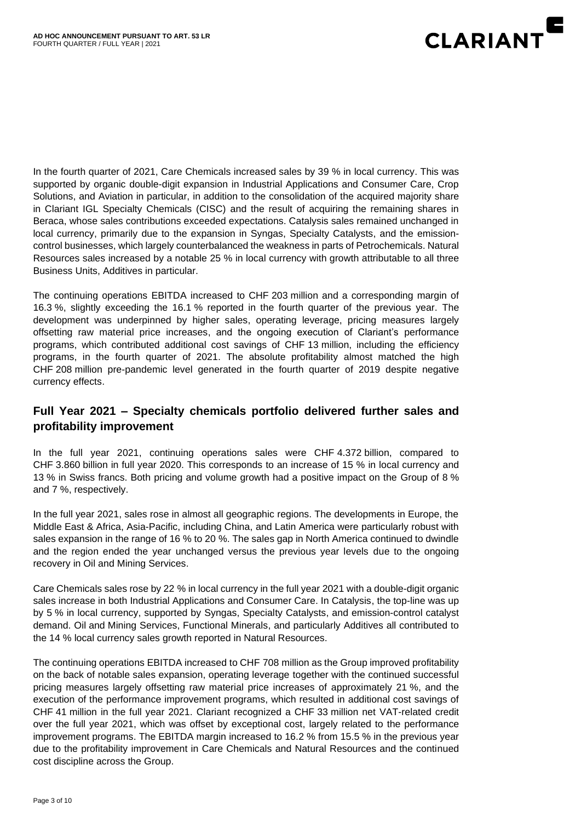

In the fourth quarter of 2021, Care Chemicals increased sales by 39 % in local currency. This was supported by organic double-digit expansion in Industrial Applications and Consumer Care, Crop Solutions, and Aviation in particular, in addition to the consolidation of the acquired majority share in Clariant IGL Specialty Chemicals (CISC) and the result of acquiring the remaining shares in Beraca, whose sales contributions exceeded expectations. Catalysis sales remained unchanged in local currency, primarily due to the expansion in Syngas, Specialty Catalysts, and the emissioncontrol businesses, which largely counterbalanced the weakness in parts of Petrochemicals. Natural Resources sales increased by a notable 25 % in local currency with growth attributable to all three Business Units, Additives in particular.

The continuing operations EBITDA increased to CHF 203 million and a corresponding margin of 16.3 %, slightly exceeding the 16.1 % reported in the fourth quarter of the previous year. The development was underpinned by higher sales, operating leverage, pricing measures largely offsetting raw material price increases, and the ongoing execution of Clariant's performance programs, which contributed additional cost savings of CHF 13 million, including the efficiency programs, in the fourth quarter of 2021. The absolute profitability almost matched the high CHF 208 million pre-pandemic level generated in the fourth quarter of 2019 despite negative currency effects.

# **Full Year 2021 – Specialty chemicals portfolio delivered further sales and profitability improvement**

In the full year 2021, continuing operations sales were CHF 4.372 billion, compared to CHF 3.860 billion in full year 2020. This corresponds to an increase of 15 % in local currency and 13 % in Swiss francs. Both pricing and volume growth had a positive impact on the Group of 8 % and 7 %, respectively.

In the full year 2021, sales rose in almost all geographic regions. The developments in Europe, the Middle East & Africa, Asia-Pacific, including China, and Latin America were particularly robust with sales expansion in the range of 16 % to 20 %. The sales gap in North America continued to dwindle and the region ended the year unchanged versus the previous year levels due to the ongoing recovery in Oil and Mining Services.

Care Chemicals sales rose by 22 % in local currency in the full year 2021 with a double-digit organic sales increase in both Industrial Applications and Consumer Care. In Catalysis, the top-line was up by 5 % in local currency, supported by Syngas, Specialty Catalysts, and emission-control catalyst demand. Oil and Mining Services, Functional Minerals, and particularly Additives all contributed to the 14 % local currency sales growth reported in Natural Resources.

The continuing operations EBITDA increased to CHF 708 million as the Group improved profitability on the back of notable sales expansion, operating leverage together with the continued successful pricing measures largely offsetting raw material price increases of approximately 21 %, and the execution of the performance improvement programs, which resulted in additional cost savings of CHF 41 million in the full year 2021. Clariant recognized a CHF 33 million net VAT-related credit over the full year 2021, which was offset by exceptional cost, largely related to the performance improvement programs. The EBITDA margin increased to 16.2 % from 15.5 % in the previous year due to the profitability improvement in Care Chemicals and Natural Resources and the continued cost discipline across the Group.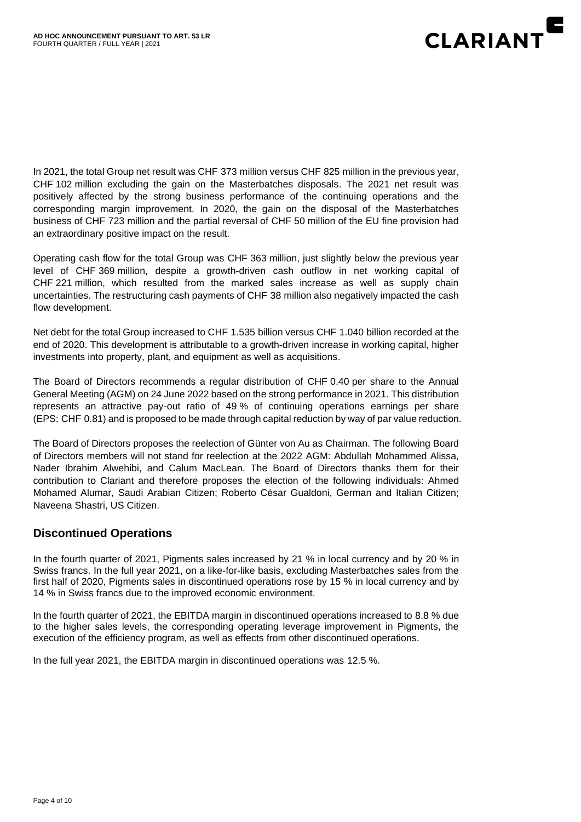

In 2021, the total Group net result was CHF 373 million versus CHF 825 million in the previous year, CHF 102 million excluding the gain on the Masterbatches disposals. The 2021 net result was positively affected by the strong business performance of the continuing operations and the corresponding margin improvement. In 2020, the gain on the disposal of the Masterbatches business of CHF 723 million and the partial reversal of CHF 50 million of the EU fine provision had an extraordinary positive impact on the result.

Operating cash flow for the total Group was CHF 363 million, just slightly below the previous year level of CHF 369 million, despite a growth-driven cash outflow in net working capital of CHF 221 million, which resulted from the marked sales increase as well as supply chain uncertainties. The restructuring cash payments of CHF 38 million also negatively impacted the cash flow development.

Net debt for the total Group increased to CHF 1.535 billion versus CHF 1.040 billion recorded at the end of 2020. This development is attributable to a growth-driven increase in working capital, higher investments into property, plant, and equipment as well as acquisitions.

The Board of Directors recommends a regular distribution of CHF 0.40 per share to the Annual General Meeting (AGM) on 24 June 2022 based on the strong performance in 2021. This distribution represents an attractive pay-out ratio of 49 % of continuing operations earnings per share (EPS: CHF 0.81) and is proposed to be made through capital reduction by way of par value reduction.

The Board of Directors proposes the reelection of Günter von Au as Chairman. The following Board of Directors members will not stand for reelection at the 2022 AGM: Abdullah Mohammed Alissa, Nader Ibrahim Alwehibi, and Calum MacLean. The Board of Directors thanks them for their contribution to Clariant and therefore proposes the election of the following individuals: Ahmed Mohamed Alumar, Saudi Arabian Citizen; Roberto César Gualdoni, German and Italian Citizen; Naveena Shastri, US Citizen.

## **Discontinued Operations**

In the fourth quarter of 2021, Pigments sales increased by 21 % in local currency and by 20 % in Swiss francs. In the full year 2021, on a like-for-like basis, excluding Masterbatches sales from the first half of 2020, Pigments sales in discontinued operations rose by 15 % in local currency and by 14 % in Swiss francs due to the improved economic environment.

In the fourth quarter of 2021, the EBITDA margin in discontinued operations increased to 8.8 % due to the higher sales levels, the corresponding operating leverage improvement in Pigments, the execution of the efficiency program, as well as effects from other discontinued operations.

In the full year 2021, the EBITDA margin in discontinued operations was 12.5 %.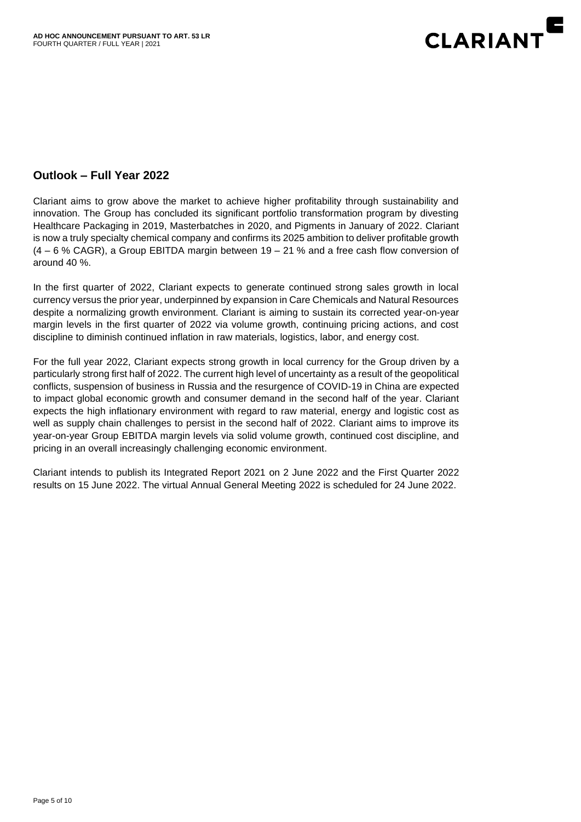

#### **Outlook – Full Year 2022**

Clariant aims to grow above the market to achieve higher profitability through sustainability and innovation. The Group has concluded its significant portfolio transformation program by divesting Healthcare Packaging in 2019, Masterbatches in 2020, and Pigments in January of 2022. Clariant is now a truly specialty chemical company and confirms its 2025 ambition to deliver profitable growth (4 – 6 % CAGR), a Group EBITDA margin between 19 – 21 % and a free cash flow conversion of around 40 %.

In the first quarter of 2022, Clariant expects to generate continued strong sales growth in local currency versus the prior year, underpinned by expansion in Care Chemicals and Natural Resources despite a normalizing growth environment. Clariant is aiming to sustain its corrected year-on-year margin levels in the first quarter of 2022 via volume growth, continuing pricing actions, and cost discipline to diminish continued inflation in raw materials, logistics, labor, and energy cost.

For the full year 2022, Clariant expects strong growth in local currency for the Group driven by a particularly strong first half of 2022. The current high level of uncertainty as a result of the geopolitical conflicts, suspension of business in Russia and the resurgence of COVID-19 in China are expected to impact global economic growth and consumer demand in the second half of the year. Clariant expects the high inflationary environment with regard to raw material, energy and logistic cost as well as supply chain challenges to persist in the second half of 2022. Clariant aims to improve its year-on-year Group EBITDA margin levels via solid volume growth, continued cost discipline, and pricing in an overall increasingly challenging economic environment.

Clariant intends to publish its Integrated Report 2021 on 2 June 2022 and the First Quarter 2022 results on 15 June 2022. The virtual Annual General Meeting 2022 is scheduled for 24 June 2022.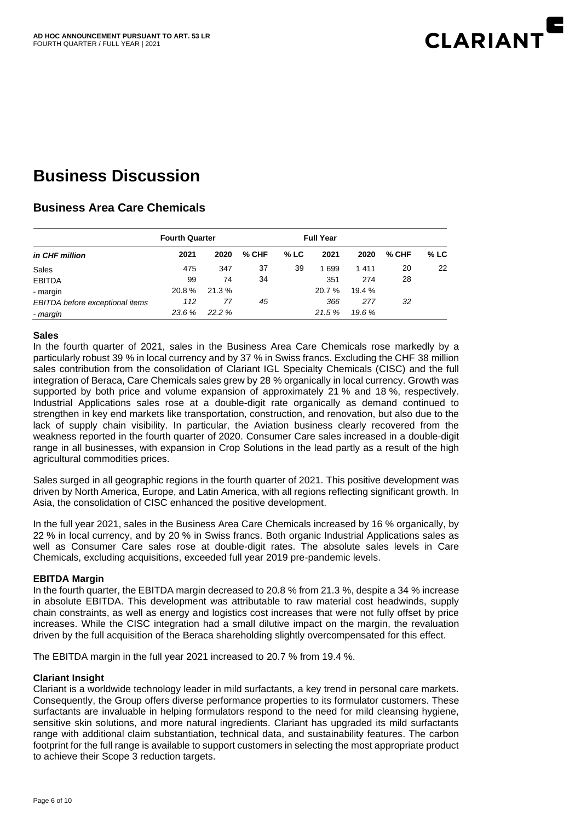

# **Business Discussion**

# **Business Area Care Chemicals**

| in CHF million                  | <b>Fourth Quarter</b> |        |         |      | <b>Full Year</b> |        |       |        |
|---------------------------------|-----------------------|--------|---------|------|------------------|--------|-------|--------|
|                                 | 2021                  | 2020   | $%$ CHF | % LC | 2021             | 2020   | % CHF | $%$ LC |
| Sales                           | 475                   | 347    | 37      | 39   | 1699             | 1411   | 20    | 22     |
| <b>EBITDA</b>                   | 99                    | 74     | 34      |      | 351              | 274    | 28    |        |
| - margin                        | 20.8%                 | 21.3 % |         |      | 20.7 %           | 19.4 % |       |        |
| EBITDA before exceptional items | 112                   | 77     | 45      |      | 366              | 277    | 32    |        |
| - margin                        | 23.6 %                | 22.2%  |         |      | 21.5%            | 19.6 % |       |        |

#### **Sales**

In the fourth quarter of 2021, sales in the Business Area Care Chemicals rose markedly by a particularly robust 39 % in local currency and by 37 % in Swiss francs. Excluding the CHF 38 million sales contribution from the consolidation of Clariant IGL Specialty Chemicals (CISC) and the full integration of Beraca, Care Chemicals sales grew by 28 % organically in local currency. Growth was supported by both price and volume expansion of approximately 21 % and 18 %, respectively. Industrial Applications sales rose at a double-digit rate organically as demand continued to strengthen in key end markets like transportation, construction, and renovation, but also due to the lack of supply chain visibility. In particular, the Aviation business clearly recovered from the weakness reported in the fourth quarter of 2020. Consumer Care sales increased in a double-digit range in all businesses, with expansion in Crop Solutions in the lead partly as a result of the high agricultural commodities prices.

Sales surged in all geographic regions in the fourth quarter of 2021. This positive development was driven by North America, Europe, and Latin America, with all regions reflecting significant growth. In Asia, the consolidation of CISC enhanced the positive development.

In the full year 2021, sales in the Business Area Care Chemicals increased by 16 % organically, by 22 % in local currency, and by 20 % in Swiss francs. Both organic Industrial Applications sales as well as Consumer Care sales rose at double-digit rates. The absolute sales levels in Care Chemicals, excluding acquisitions, exceeded full year 2019 pre-pandemic levels.

#### **EBITDA Margin**

In the fourth quarter, the EBITDA margin decreased to 20.8 % from 21.3 %, despite a 34 % increase in absolute EBITDA. This development was attributable to raw material cost headwinds, supply chain constraints, as well as energy and logistics cost increases that were not fully offset by price increases. While the CISC integration had a small dilutive impact on the margin, the revaluation driven by the full acquisition of the Beraca shareholding slightly overcompensated for this effect.

The EBITDA margin in the full year 2021 increased to 20.7 % from 19.4 %.

#### **Clariant Insight**

Clariant is a worldwide technology leader in mild surfactants, a key trend in personal care markets. Consequently, the Group offers diverse performance properties to its formulator customers. These surfactants are invaluable in helping formulators respond to the need for mild cleansing hygiene, sensitive skin solutions, and more natural ingredients. Clariant has upgraded its mild surfactants range with additional claim substantiation, technical data, and sustainability features. The carbon footprint for the full range is available to support customers in selecting the most appropriate product to achieve their Scope 3 reduction targets.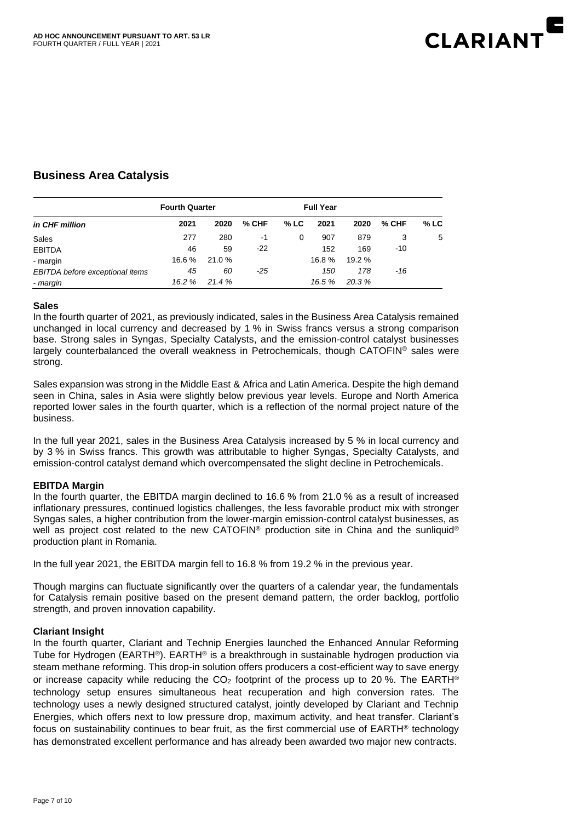

# **Business Area Catalysis**

| in CHF million                  | <b>Fourth Quarter</b> |       |         |        | <b>Full Year</b> |        |         |      |
|---------------------------------|-----------------------|-------|---------|--------|------------------|--------|---------|------|
|                                 | 2021                  | 2020  | $%$ CHF | $%$ LC | 2021             | 2020   | $%$ CHF | % LC |
| Sales                           | 277                   | 280   | -1      | 0      | 907              | 879    | 3       | 5    |
| <b>EBITDA</b>                   | 46                    | 59    | $-22$   |        | 152              | 169    | -10     |      |
| - margin                        | 16.6%                 | 21.0% |         |        | 16.8%            | 19.2 % |         |      |
| EBITDA before exceptional items | 45                    | 60    | -25     |        | 150              | 178    | -16     |      |
| - margin                        | 16.2 %                | 21.4% |         |        | 16.5 %           | 20.3%  |         |      |

#### **Sales**

In the fourth quarter of 2021, as previously indicated, sales in the Business Area Catalysis remained unchanged in local currency and decreased by 1 % in Swiss francs versus a strong comparison base. Strong sales in Syngas, Specialty Catalysts, and the emission-control catalyst businesses largely counterbalanced the overall weakness in Petrochemicals, though CATOFIN® sales were strong.

Sales expansion was strong in the Middle East & Africa and Latin America. Despite the high demand seen in China, sales in Asia were slightly below previous year levels. Europe and North America reported lower sales in the fourth quarter, which is a reflection of the normal project nature of the business.

In the full year 2021, sales in the Business Area Catalysis increased by 5 % in local currency and by 3 % in Swiss francs. This growth was attributable to higher Syngas, Specialty Catalysts, and emission-control catalyst demand which overcompensated the slight decline in Petrochemicals.

#### **EBITDA Margin**

In the fourth quarter, the EBITDA margin declined to 16.6 % from 21.0 % as a result of increased inflationary pressures, continued logistics challenges, the less favorable product mix with stronger Syngas sales, a higher contribution from the lower-margin emission-control catalyst businesses, as well as project cost related to the new CATOFIN® production site in China and the sunliquid® production plant in Romania.

In the full year 2021, the EBITDA margin fell to 16.8 % from 19.2 % in the previous year.

Though margins can fluctuate significantly over the quarters of a calendar year, the fundamentals for Catalysis remain positive based on the present demand pattern, the order backlog, portfolio strength, and proven innovation capability.

#### **Clariant Insight**

In the fourth quarter, Clariant and Technip Energies launched the Enhanced Annular Reforming Tube for Hydrogen (EARTH®). EARTH® is a breakthrough in sustainable hydrogen production via steam methane reforming. This drop-in solution offers producers a cost-efficient way to save energy or increase capacity while reducing the  $CO<sub>2</sub>$  footprint of the process up to 20 %. The EARTH<sup>®</sup> technology setup ensures simultaneous heat recuperation and high conversion rates. The technology uses a newly designed structured catalyst, jointly developed by Clariant and Technip Energies, which offers next to low pressure drop, maximum activity, and heat transfer. Clariant's focus on sustainability continues to bear fruit, as the first commercial use of EARTH® technology has demonstrated excellent performance and has already been awarded two major new contracts.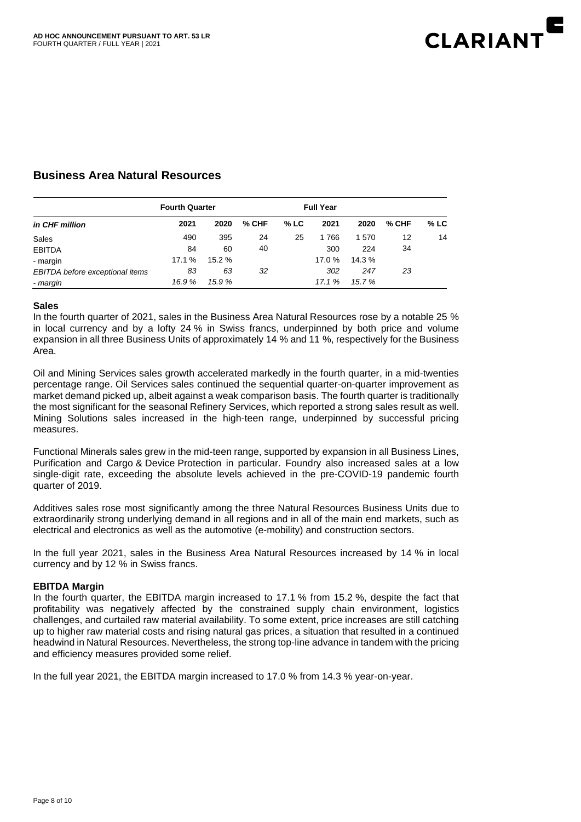

#### **Business Area Natural Resources**

| in CHF million                  | <b>Fourth Quarter</b> |        |         |        | <b>Full Year</b> |        |         |        |
|---------------------------------|-----------------------|--------|---------|--------|------------------|--------|---------|--------|
|                                 | 2021                  | 2020   | $%$ CHF | $%$ LC | 2021             | 2020   | $%$ CHF | $%$ LC |
| Sales                           | 490                   | 395    | 24      | 25     | 1766             | 1570   | 12      | 14     |
| <b>EBITDA</b>                   | 84                    | 60     | 40      |        | 300              | 224    | 34      |        |
| - margin                        | 17.1 %                | 15.2 % |         |        | 17.0 %           | 14.3 % |         |        |
| EBITDA before exceptional items | 83                    | 63     | 32      |        | 302              | 247    | 23      |        |
| - margin                        | 16.9%                 | 15.9%  |         |        | 17.1 %           | 15.7 % |         |        |

#### **Sales**

In the fourth quarter of 2021, sales in the Business Area Natural Resources rose by a notable 25 % in local currency and by a lofty 24 % in Swiss francs, underpinned by both price and volume expansion in all three Business Units of approximately 14 % and 11 %, respectively for the Business Area.

Oil and Mining Services sales growth accelerated markedly in the fourth quarter, in a mid-twenties percentage range. Oil Services sales continued the sequential quarter-on-quarter improvement as market demand picked up, albeit against a weak comparison basis. The fourth quarter is traditionally the most significant for the seasonal Refinery Services, which reported a strong sales result as well. Mining Solutions sales increased in the high-teen range, underpinned by successful pricing measures.

Functional Minerals sales grew in the mid-teen range, supported by expansion in all Business Lines, Purification and Cargo & Device Protection in particular. Foundry also increased sales at a low single-digit rate, exceeding the absolute levels achieved in the pre-COVID-19 pandemic fourth quarter of 2019.

Additives sales rose most significantly among the three Natural Resources Business Units due to extraordinarily strong underlying demand in all regions and in all of the main end markets, such as electrical and electronics as well as the automotive (e-mobility) and construction sectors.

In the full year 2021, sales in the Business Area Natural Resources increased by 14 % in local currency and by 12 % in Swiss francs.

#### **EBITDA Margin**

In the fourth quarter, the EBITDA margin increased to 17.1 % from 15.2 %, despite the fact that profitability was negatively affected by the constrained supply chain environment, logistics challenges, and curtailed raw material availability. To some extent, price increases are still catching up to higher raw material costs and rising natural gas prices, a situation that resulted in a continued headwind in Natural Resources. Nevertheless, the strong top-line advance in tandem with the pricing and efficiency measures provided some relief.

In the full year 2021, the EBITDA margin increased to 17.0 % from 14.3 % year-on-year.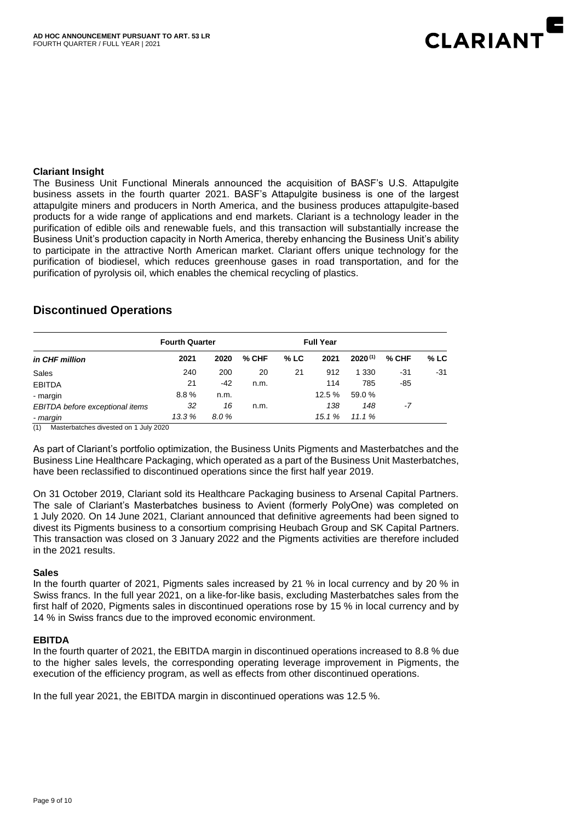

#### **Clariant Insight**

The Business Unit Functional Minerals announced the acquisition of BASF's U.S. Attapulgite business assets in the fourth quarter 2021. BASF's Attapulgite business is one of the largest attapulgite miners and producers in North America, and the business produces attapulgite-based products for a wide range of applications and end markets. Clariant is a technology leader in the purification of edible oils and renewable fuels, and this transaction will substantially increase the Business Unit's production capacity in North America, thereby enhancing the Business Unit's ability to participate in the attractive North American market. Clariant offers unique technology for the purification of biodiesel, which reduces greenhouse gases in road transportation, and for the purification of pyrolysis oil, which enables the chemical recycling of plastics.

#### **Discontinued Operations**

| in CHF million                  | <b>Fourth Quarter</b> |       |       | <b>Full Year</b> |       |              |       |        |
|---------------------------------|-----------------------|-------|-------|------------------|-------|--------------|-------|--------|
|                                 | 2021                  | 2020  | % CHF | % LC             | 2021  | $2020^{(1)}$ | % CHF | $%$ LC |
| Sales                           | 240                   | 200   | 20    | 21               | 912   | 1 3 3 0      | -31   | $-31$  |
| <b>EBITDA</b>                   | 21                    | $-42$ | n.m.  |                  | 114   | 785          | -85   |        |
| - margin                        | 8.8%                  | n.m.  |       |                  | 12.5% | 59.0 %       |       |        |
| EBITDA before exceptional items | 32                    | 16    | n.m.  |                  | 138   | 148          | $-7$  |        |
| - margin                        | 13.3%                 | 8.0%  |       |                  | 15.1% | 11.1%        |       |        |

(1) Masterbatches divested on 1 July 2020

As part of Clariant's portfolio optimization, the Business Units Pigments and Masterbatches and the Business Line Healthcare Packaging, which operated as a part of the Business Unit Masterbatches, have been reclassified to discontinued operations since the first half year 2019.

On 31 October 2019, Clariant sold its Healthcare Packaging business to Arsenal Capital Partners. The sale of Clariant's Masterbatches business to Avient (formerly PolyOne) was completed on 1 July 2020. On 14 June 2021, Clariant announced that definitive agreements had been signed to divest its Pigments business to a consortium comprising Heubach Group and SK Capital Partners. This transaction was closed on 3 January 2022 and the Pigments activities are therefore included in the 2021 results.

#### **Sales**

In the fourth quarter of 2021, Pigments sales increased by 21 % in local currency and by 20 % in Swiss francs. In the full year 2021, on a like-for-like basis, excluding Masterbatches sales from the first half of 2020, Pigments sales in discontinued operations rose by 15 % in local currency and by 14 % in Swiss francs due to the improved economic environment.

#### **EBITDA**

In the fourth quarter of 2021, the EBITDA margin in discontinued operations increased to 8.8 % due to the higher sales levels, the corresponding operating leverage improvement in Pigments, the execution of the efficiency program, as well as effects from other discontinued operations.

In the full year 2021, the EBITDA margin in discontinued operations was 12.5 %.